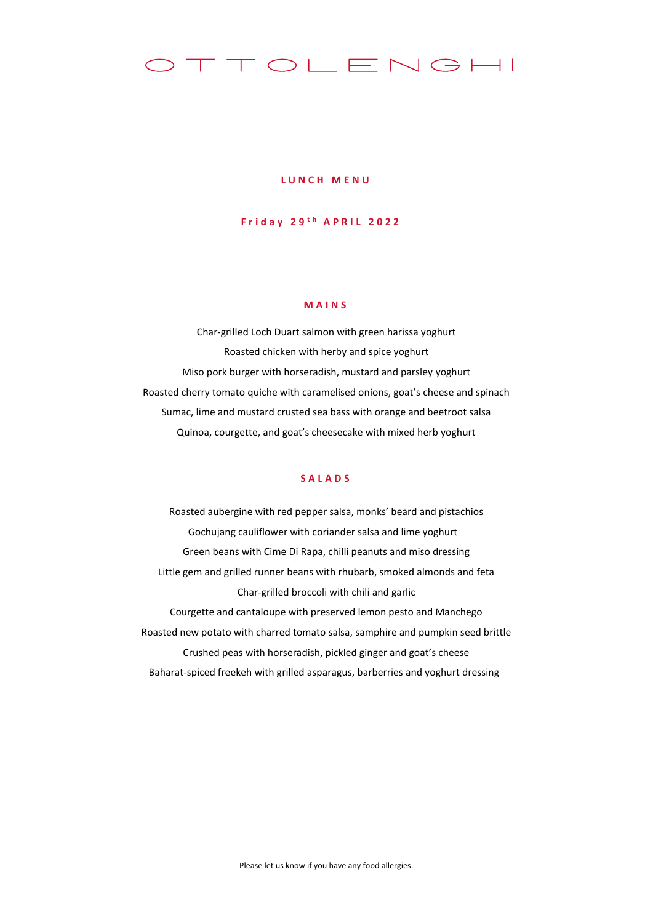# TTOLENGHI

#### **L U N C H M E N U**

## **F r i d a y 2 9 t h A P R I L 2 0 2 2**

### **M A I N S**

Char-grilled Loch Duart salmon with green harissa yoghurt Roasted chicken with herby and spice yoghurt Miso pork burger with horseradish, mustard and parsley yoghurt Roasted cherry tomato quiche with caramelised onions, goat's cheese and spinach Sumac, lime and mustard crusted sea bass with orange and beetroot salsa Quinoa, courgette, and goat's cheesecake with mixed herb yoghurt

#### **S A L A D S**

Roasted aubergine with red pepper salsa, monks' beard and pistachios Gochujang cauliflower with coriander salsa and lime yoghurt Green beans with Cime Di Rapa, chilli peanuts and miso dressing Little gem and grilled runner beans with rhubarb, smoked almonds and feta Char-grilled broccoli with chili and garlic Courgette and cantaloupe with preserved lemon pesto and Manchego Roasted new potato with charred tomato salsa, samphire and pumpkin seed brittle Crushed peas with horseradish, pickled ginger and goat's cheese Baharat-spiced freekeh with grilled asparagus, barberries and yoghurt dressing